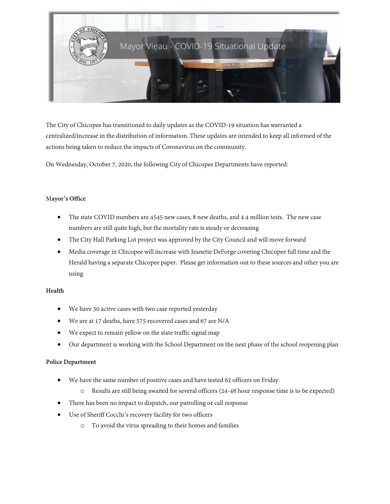

The City of Chicopee has transitioned to daily updates as the COVID-19 situation has warranted a centralized/increase in the distribution of information. These updates are intended to keep all informed of the actions being taken to reduce the impacts of Coronavirus on the community.

On Wednesday, October 7, 2020, the following City of Chicopee Departments have reported:

### M**ayor's Office**

- The state COVID numbers are 4545 new cases, 8 new deaths, and 4.4 million tests. The new case numbers are still quite high, but the mortality rate is steady or decreasing
- The City Hall Parking Lot project was approved by the City Council and will move forward
- Media coverage in Chicopee will increase with Jeanette DeForge covering Chicopee full time and the Herald having a separate Chicopee paper. Please get information out to these sources and other you are using

## **Health**

- We have 30 active cases with two case reported yesterday
- We are at 17 deaths, have 575 recovered cases and 67 are N/A
- We expect to remain yellow on the state traffic signal map
- Our department is working with the School Department on the next phase of the school reopening plan

#### **Police Department**

- We have the same number of positive cases and have tested 62 officers on Friday.
	- o Results are still being awaited for several officers (24-48 hour response time is to be expected)
- There has been no impact to dispatch, our patrolling or call response
- Use of Sheriff Cocchi's recovery facility for two officers
	- o To avoid the virus spreading to their homes and families